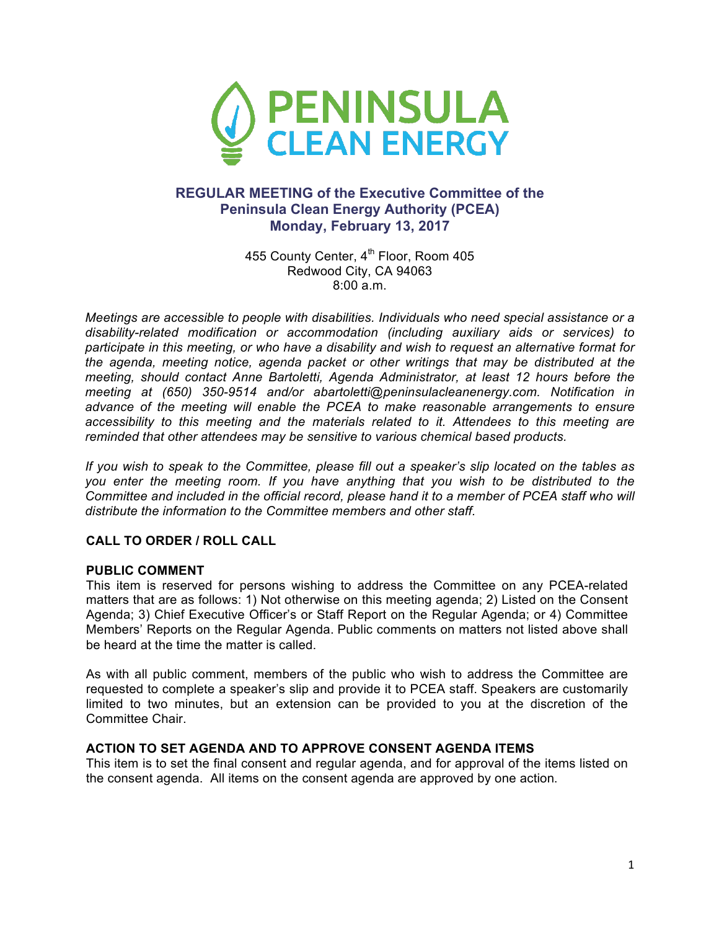

# **REGULAR MEETING of the Executive Committee of the Peninsula Clean Energy Authority (PCEA) Monday, February 13, 2017**

455 County Center, 4<sup>th</sup> Floor, Room 405 Redwood City, CA 94063 8:00 a.m.

*Meetings are accessible to people with disabilities. Individuals who need special assistance or a disability-related modification or accommodation (including auxiliary aids or services) to participate in this meeting, or who have a disability and wish to request an alternative format for the agenda, meeting notice, agenda packet or other writings that may be distributed at the meeting, should contact Anne Bartoletti, Agenda Administrator, at least 12 hours before the meeting at (650) 350-9514 and/or abartoletti@peninsulacleanenergy.com. Notification in advance of the meeting will enable the PCEA to make reasonable arrangements to ensure accessibility to this meeting and the materials related to it. Attendees to this meeting are reminded that other attendees may be sensitive to various chemical based products.*

*If you wish to speak to the Committee, please fill out a speaker's slip located on the tables as you enter the meeting room. If you have anything that you wish to be distributed to the Committee and included in the official record, please hand it to a member of PCEA staff who will distribute the information to the Committee members and other staff.*

### **CALL TO ORDER / ROLL CALL**

#### **PUBLIC COMMENT**

This item is reserved for persons wishing to address the Committee on any PCEA-related matters that are as follows: 1) Not otherwise on this meeting agenda; 2) Listed on the Consent Agenda; 3) Chief Executive Officer's or Staff Report on the Regular Agenda; or 4) Committee Members' Reports on the Regular Agenda. Public comments on matters not listed above shall be heard at the time the matter is called.

As with all public comment, members of the public who wish to address the Committee are requested to complete a speaker's slip and provide it to PCEA staff. Speakers are customarily limited to two minutes, but an extension can be provided to you at the discretion of the Committee Chair.

#### **ACTION TO SET AGENDA AND TO APPROVE CONSENT AGENDA ITEMS**

This item is to set the final consent and regular agenda, and for approval of the items listed on the consent agenda. All items on the consent agenda are approved by one action.